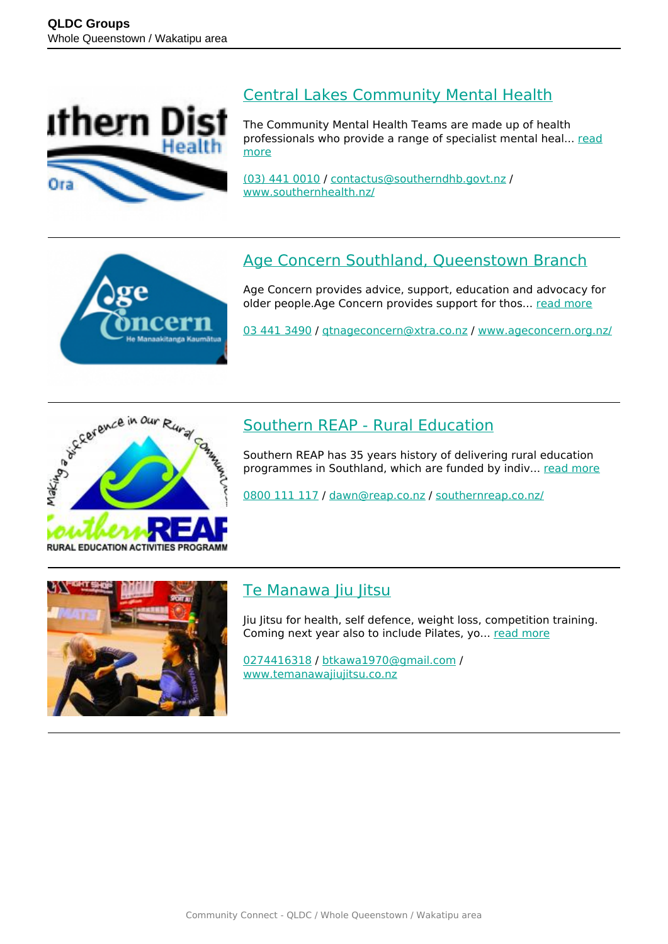

#### [Central Lakes Community Mental Health](https://groups.qldc.govt.nz/groups/show/central-lakes-community-mental-health/)

The Community Mental Health Teams are made up of health professionals who provide a range of specialist mental heal... [read](https://groups.qldc.govt.nz/groups/show/central-lakes-community-mental-health/) [more](https://groups.qldc.govt.nz/groups/show/central-lakes-community-mental-health/)

[\(03\) 441 0010](tel:034410010) / [contactus@southerndhb.govt.nz](mailto:contactus@southerndhb.govt.nz) / [www.southernhealth.nz/](https://www.southernhealth.nz/)



## [Age Concern Southland, Queenstown Branch](https://groups.qldc.govt.nz/groups/show/age-concern-southland-queenstown-branch/)

Age Concern provides advice, support, education and advocacy for older people.Age Concern provides support for thos... [read more](https://groups.qldc.govt.nz/groups/show/age-concern-southland-queenstown-branch/)

[03 441 3490](tel:034413490) / [qtnageconcern@xtra.co.nz](mailto:qtnageconcern@xtra.co.nz) / [www.ageconcern.org.nz/](https://www.ageconcern.org.nz/)



### [Southern REAP - Rural Education](https://groups.qldc.govt.nz/groups/show/southern-reap-rural-education/)

Southern REAP has 35 years history of delivering rural education programmes in Southland, which are funded by indiv... [read more](https://groups.qldc.govt.nz/groups/show/southern-reap-rural-education/)

[0800 111 117](tel:0800111117) / [dawn@reap.co.nz](mailto:dawn@reap.co.nz) / [southernreap.co.nz/](http://southernreap.co.nz/)



### [Te Manawa Jiu Jitsu](https://groups.qldc.govt.nz/groups/show/te-manawa-jiu-jitsu/)

Jiu Jitsu for health, self defence, weight loss, competition training. Coming next year also to include Pilates, yo... [read more](https://groups.qldc.govt.nz/groups/show/te-manawa-jiu-jitsu/)

[0274416318](tel:0274416318) / [btkawa1970@gmail.com](mailto:btkawa1970@gmail.com) / [www.temanawajiujitsu.co.nz](http://www.temanawajiujitsu.co.nz)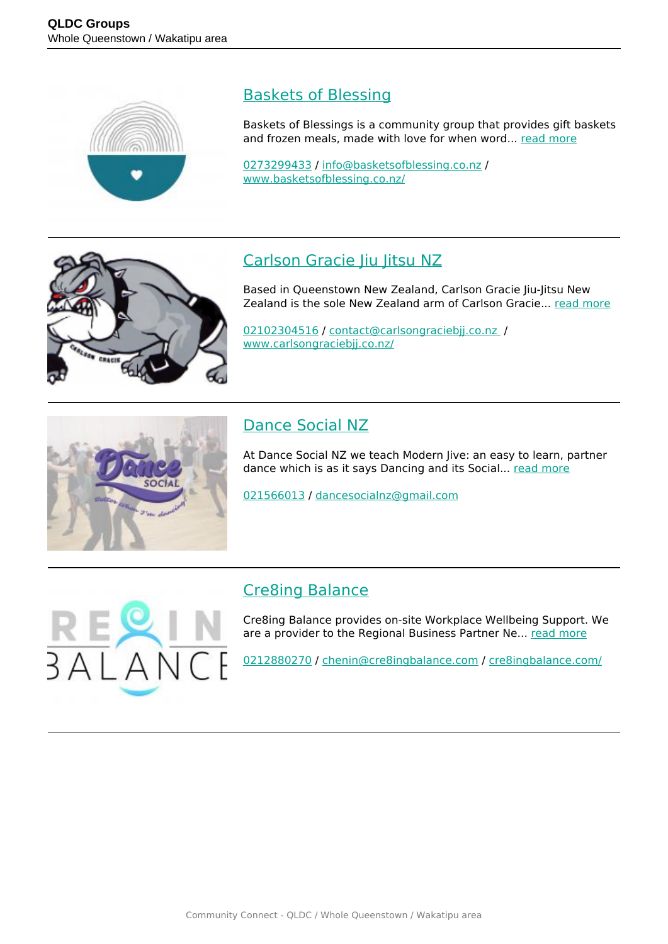

#### [Baskets of Blessing](https://groups.qldc.govt.nz/groups/show/baskets-of-blessing/)

Baskets of Blessings is a community group that provides gift baskets and frozen meals, made with love for when word... [read more](https://groups.qldc.govt.nz/groups/show/baskets-of-blessing/)

[0273299433](tel:0273299433) / [info@basketsofblessing.co.nz](mailto:info@basketsofblessing.co.nz) / [www.basketsofblessing.co.nz/](https://www.basketsofblessing.co.nz/)



## [Carlson Gracie Jiu Jitsu NZ](https://groups.qldc.govt.nz/groups/show/carlson-gracie-jiu-jitsu-nz/)

Based in Queenstown New Zealand, Carlson Gracie Jiu-Jitsu New Zealand is the sole New Zealand arm of Carlson Gracie... [read more](https://groups.qldc.govt.nz/groups/show/carlson-gracie-jiu-jitsu-nz/)

[02102304516](tel:02102304516) / [contact@carlsongraciebjj.co.nz](mailto:contact@carlsongraciebjj.co.nz ) / [www.carlsongraciebjj.co.nz/](http://www.carlsongraciebjj.co.nz/)



## [Dance Social NZ](https://groups.qldc.govt.nz/groups/show/dance-social-nz/)

At Dance Social NZ we teach Modern Jive: an easy to learn, partner dance which is as it says Dancing and its Social... [read more](https://groups.qldc.govt.nz/groups/show/dance-social-nz/)

[021566013](tel:021566013) / [dancesocialnz@gmail.com](mailto:dancesocialnz@gmail.com)

### [Cre8ing Balance](https://groups.qldc.govt.nz/groups/show/cre8ing-balance/)

Cre8ing Balance provides on-site Workplace Wellbeing Support. We are a provider to the Regional Business Partner Ne... [read more](https://groups.qldc.govt.nz/groups/show/cre8ing-balance/)

[0212880270](tel:0212880270) / [chenin@cre8ingbalance.com](mailto:chenin@cre8ingbalance.com) / [cre8ingbalance.com/](https://cre8ingbalance.com/)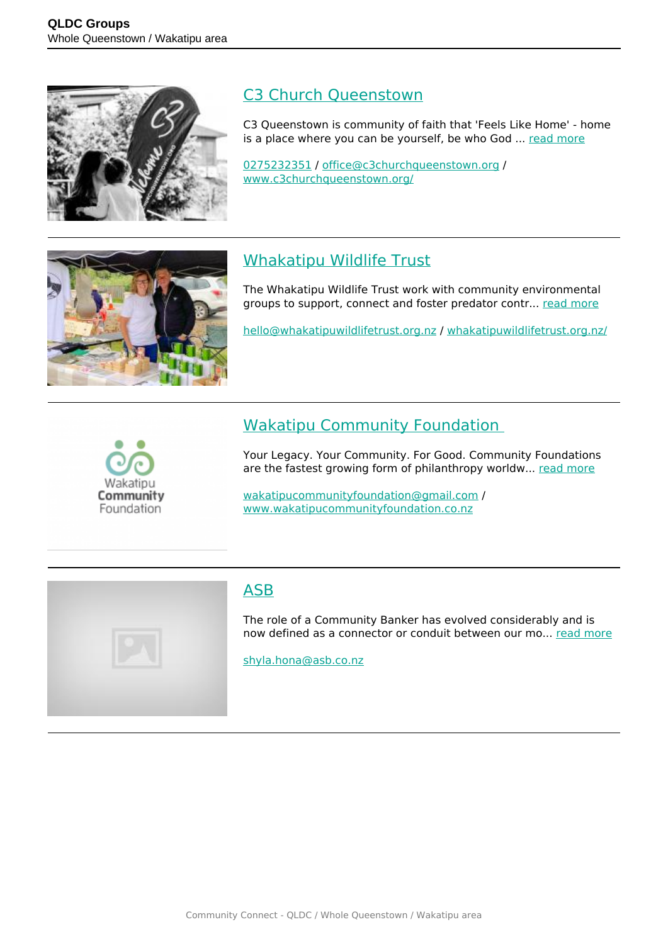

#### [C3 Church Queenstown](https://groups.qldc.govt.nz/groups/show/c3-church-queenstown/)

C3 Queenstown is community of faith that 'Feels Like Home' - home is a place where you can be yourself, be who God ... [read more](https://groups.qldc.govt.nz/groups/show/c3-church-queenstown/)

[0275232351](tel:0275232351) / [office@c3churchqueenstown.org](mailto:office@c3churchqueenstown.org) / [www.c3churchqueenstown.org/](https://www.c3churchqueenstown.org/)



## [Whakatipu Wildlife Trust](https://groups.qldc.govt.nz/groups/show/whakatipu-wildlife-trust/)

The Whakatipu Wildlife Trust work with community environmental groups to support, connect and foster predator contr... [read more](https://groups.qldc.govt.nz/groups/show/whakatipu-wildlife-trust/)

[hello@whakatipuwildlifetrust.org.nz](mailto:hello@whakatipuwildlifetrust.org.nz) / [whakatipuwildlifetrust.org.nz/](https://whakatipuwildlifetrust.org.nz/)



### [Wakatipu Community Foundation](https://groups.qldc.govt.nz/groups/show/wakatipu-community-foundation/)

Your Legacy. Your Community. For Good. Community Foundations are the fastest growing form of philanthropy worldw... [read more](https://groups.qldc.govt.nz/groups/show/wakatipu-community-foundation/)

[wakatipucommunityfoundation@gmail.com](mailto:wakatipucommunityfoundation@gmail.com) / [www.wakatipucommunityfoundation.co.nz](https://www.wakatipucommunityfoundation.co.nz)



### [ASB](https://groups.qldc.govt.nz/groups/show/asb/)

The role of a Community Banker has evolved considerably and is now defined as a connector or conduit between our mo... [read more](https://groups.qldc.govt.nz/groups/show/asb/)

[shyla.hona@asb.co.nz](mailto:shyla.hona@asb.co.nz)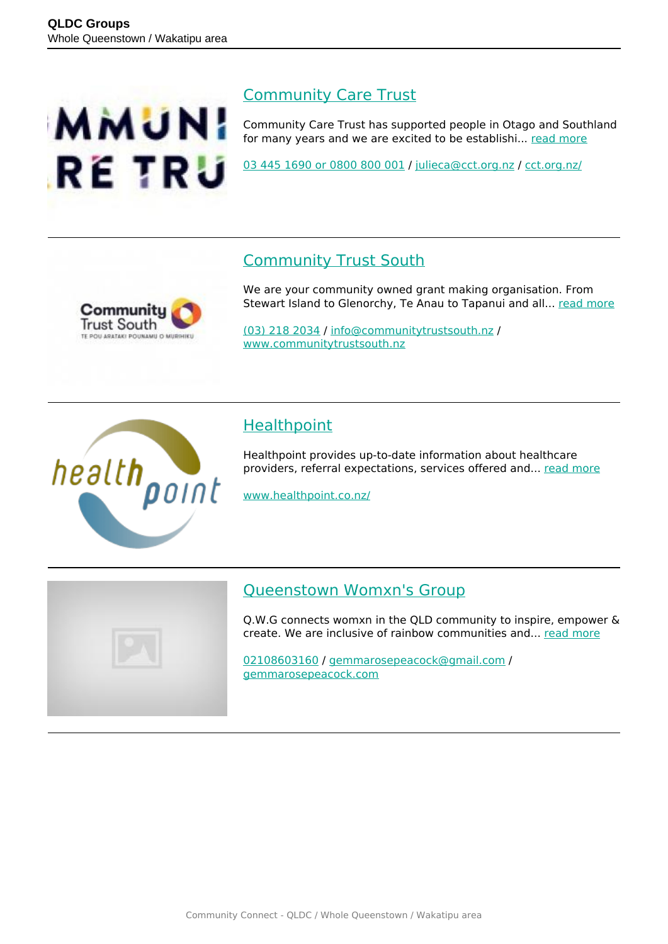

#### [Community Care Trust](https://groups.qldc.govt.nz/groups/show/community-care-trust/)

Community Care Trust has supported people in Otago and Southland for many years and we are excited to be establishi... [read more](https://groups.qldc.govt.nz/groups/show/community-care-trust/)

[03 445 1690 or 0800 800 001](tel:034451690) / [julieca@cct.org.nz](mailto:julieca@cct.org.nz) / [cct.org.nz/](https://cct.org.nz/)

#### [Community Trust South](https://groups.qldc.govt.nz/groups/show/community-trust-south/)



We are your community owned grant making organisation. From Stewart Island to Glenorchy, Te Anau to Tapanui and all... [read more](https://groups.qldc.govt.nz/groups/show/community-trust-south/)

[\(03\) 218 2034](tel:032182034) / [info@communitytrustsouth.nz](mailto:info@communitytrustsouth.nz) / [www.communitytrustsouth.nz](http://www.communitytrustsouth.nz)



### **[Healthpoint](https://groups.qldc.govt.nz/groups/show/healthpoint/)**

Healthpoint provides up-to-date information about healthcare providers, referral expectations, services offered and... [read more](https://groups.qldc.govt.nz/groups/show/healthpoint/)

[www.healthpoint.co.nz/](https://www.healthpoint.co.nz/)



#### [Queenstown Womxn's Group](https://groups.qldc.govt.nz/groups/show/queenstown-womxns-group/)

Q.W.G connects womxn in the QLD community to inspire, empower & create. We are inclusive of rainbow communities and... [read more](https://groups.qldc.govt.nz/groups/show/queenstown-womxns-group/)

[02108603160](tel:02108603160) / [gemmarosepeacock@gmail.com](mailto:gemmarosepeacock@gmail.com) / [gemmarosepeacock.com](http://gemmarosepeacock.com)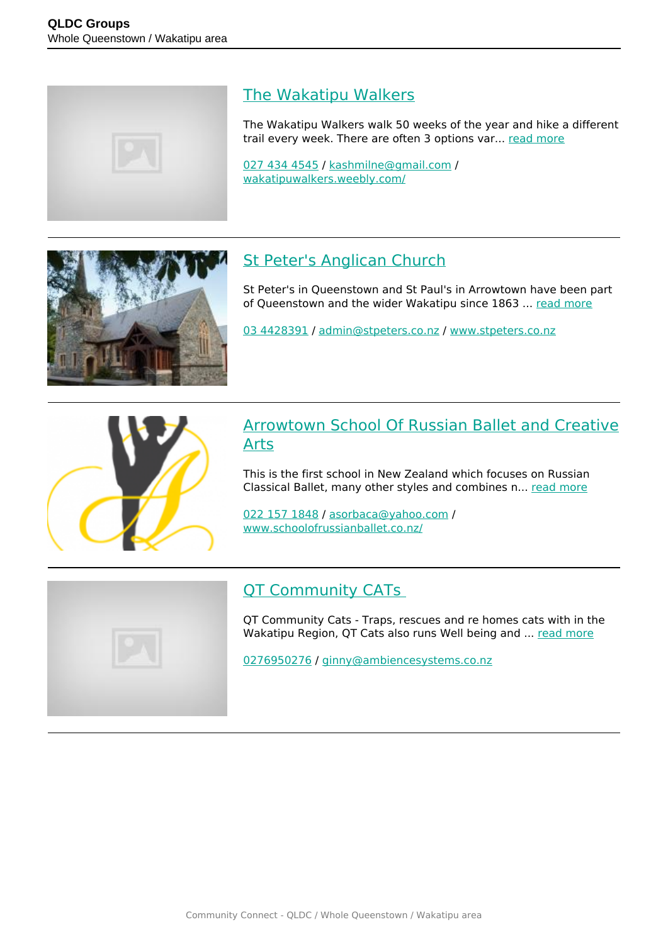

### [The Wakatipu Walkers](https://groups.qldc.govt.nz/groups/show/the-wakatipu-walkers/)

The Wakatipu Walkers walk 50 weeks of the year and hike a different trail every week. There are often 3 options var... [read more](https://groups.qldc.govt.nz/groups/show/the-wakatipu-walkers/)

[027 434 4545](tel:0274344545) / [kashmilne@gmail.com](mailto:kashmilne@gmail.com) / [wakatipuwalkers.weebly.com/](https://wakatipuwalkers.weebly.com/)



# [St Peter's Anglican Church](https://groups.qldc.govt.nz/groups/show/st-peters-anglican-church/)

St Peter's in Queenstown and St Paul's in Arrowtown have been part of Queenstown and the wider Wakatipu since 1863 ... [read more](https://groups.qldc.govt.nz/groups/show/st-peters-anglican-church/)

[03 4428391](tel:034428391) / [admin@stpeters.co.nz](mailto:admin@stpeters.co.nz) / [www.stpeters.co.nz](http://www.stpeters.co.nz)



#### [Arrowtown School Of Russian Ballet and Creative](https://groups.qldc.govt.nz/groups/show/arrowtown-school-of-russian-ballet-and-creative-arts/) [Arts](https://groups.qldc.govt.nz/groups/show/arrowtown-school-of-russian-ballet-and-creative-arts/)

This is the first school in New Zealand which focuses on Russian Classical Ballet, many other styles and combines n... [read more](https://groups.qldc.govt.nz/groups/show/arrowtown-school-of-russian-ballet-and-creative-arts/)

[022 157 1848](tel:0221571848) / [asorbaca@yahoo.com](mailto:asorbaca@yahoo.com) / [www.schoolofrussianballet.co.nz/](https://www.schoolofrussianballet.co.nz/)



### OT Community CATs

QT Community Cats - Traps, rescues and re homes cats with in the Wakatipu Region, QT Cats also runs Well being and ... [read more](https://groups.qldc.govt.nz/groups/show/qt-community-cats/)

[0276950276](tel:0276950276) / [ginny@ambiencesystems.co.nz](mailto:ginny@ambiencesystems.co.nz)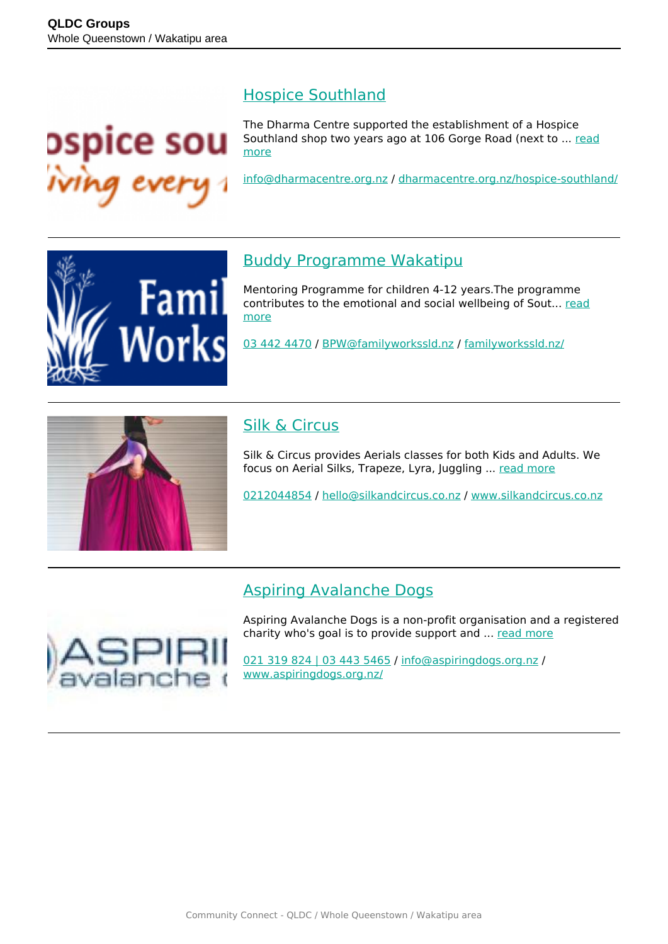

#### [Hospice Southland](https://groups.qldc.govt.nz/groups/show/hospice-southland/)

The Dharma Centre supported the establishment of a Hospice Southland shop two years ago at 106 Gorge Road (next to ... [read](https://groups.qldc.govt.nz/groups/show/hospice-southland/) [more](https://groups.qldc.govt.nz/groups/show/hospice-southland/)

[info@dharmacentre.org.nz](mailto:info@dharmacentre.org.nz) / [dharmacentre.org.nz/hospice-southland/](http://dharmacentre.org.nz/hospice-southland/)



### [Buddy Programme Wakatipu](https://groups.qldc.govt.nz/groups/show/buddy-programme-wakatipu/)

Mentoring Programme for children 4-12 years.The programme contributes to the emotional and social wellbeing of Sout... [read](https://groups.qldc.govt.nz/groups/show/buddy-programme-wakatipu/) [more](https://groups.qldc.govt.nz/groups/show/buddy-programme-wakatipu/)

[03 442 4470](tel:034424470) / [BPW@familyworkssld.nz](mailto:BPW@familyworkssld.nz) / [familyworkssld.nz/](http://familyworkssld.nz/)



## [Silk & Circus](https://groups.qldc.govt.nz/groups/show/silk-and-circus/)

Silk & Circus provides Aerials classes for both Kids and Adults. We focus on Aerial Silks, Trapeze, Lyra, Juggling ... [read more](https://groups.qldc.govt.nz/groups/show/silk-and-circus/)

[0212044854](tel:0212044854) / [hello@silkandcircus.co.nz](mailto:hello@silkandcircus.co.nz) / [www.silkandcircus.co.nz](http://www.silkandcircus.co.nz)

### [Aspiring Avalanche Dogs](https://groups.qldc.govt.nz/groups/show/aspiring-avalanche-dogs/)



Aspiring Avalanche Dogs is a non-profit organisation and a registered charity who's goal is to provide support and ... [read more](https://groups.qldc.govt.nz/groups/show/aspiring-avalanche-dogs/)

[021 319 824 | 03 443 5465](tel:021319824034435465) / [info@aspiringdogs.org.nz](mailto:info@aspiringdogs.org.nz) / [www.aspiringdogs.org.nz/](https://www.aspiringdogs.org.nz/)